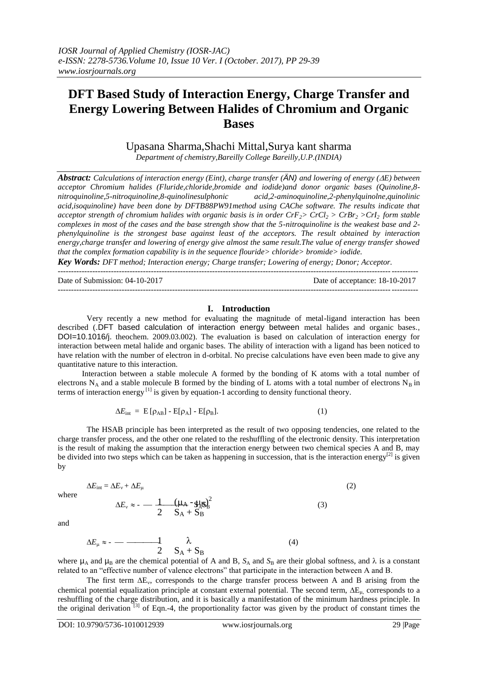# **DFT Based Study of Interaction Energy, Charge Transfer and Energy Lowering Between Halides of Chromium and Organic Bases**

Upasana Sharma,Shachi Mittal,Surya kant sharma

*Department of chemistry,Bareilly College Bareilly,U.P.(INDIA)*

*Abstract: Calculations of interaction energy (Eint), charge transfer (ÄN) and lowering of energy (E) between acceptor Chromium halides (Fluride,chloride,bromide and iodide)and donor organic bases (Quinoline,8 nitroquinoline,5-nitroquinoline,8-quinolinesulphonic acid,2-aminoquinoline,2-phenylquinolne,quinolinic acid,isoquinoline) have been done by DFTB88PW91method using CAChe software. The results indicate that acceptor strength of chromium halides with organic basis is in order CrF2> CrCl<sup>2</sup> > CrBr<sup>2</sup> >CrI2 form stable complexes in most of the cases and the base strength show that the 5-nitroquinoline is the weakest base and 2 phenylquinoline is the strongest base against least of the acceptors. The result obtained by interaction energy,charge transfer and lowering of energy give almost the same result.The value of energy transfer showed that the complex formation capability is in the sequence flouride> chloride> bromide> iodide.*

*Key Words: DFT method; Interaction energy; Charge transfer; Lowering of energy; Donor; Acceptor.*

Date of Submission: 04-10-2017 Date of acceptance: 18-10-2017 ---------------------------------------------------------------------------------------------------------------------------------------

### **I. Introduction**

Very recently a new method for evaluating the magnitude of metal-ligand interaction has been described (.DFT based calculation of interaction energy between metal halides and organic bases., DOI=10.1016/j. theochem. 2009.03.002). The evaluation is based on calculation of interaction energy for interaction between metal halide and organic bases. The ability of interaction with a ligand has been noticed to have relation with the number of electron in d-orbital. No precise calculations have even been made to give any quantitative nature to this interaction.

 Interaction between a stable molecule A formed by the bonding of K atoms with a total number of electrons  $N_A$  and a stable molecule B formed by the binding of L atoms with a total number of electrons  $N_B$  in terms of interaction energy  $\left[1\right]$  is given by equation-1 according to density functional theory.

$$
\Delta E_{\text{int}} = \mathbf{E} \left[ \rho_{AB} \right] - \mathbf{E} [\rho_A] - \mathbf{E} [\rho_B]. \tag{1}
$$

The HSAB principle has been interpreted as the result of two opposing tendencies, one related to the charge transfer process, and the other one related to the reshuffling of the electronic density. This interpretation is the result of making the assumption that the interaction energy between two chemical species A and B, may be divided into two steps which can be taken as happening in succession, that is the interaction energy<sup>[2]</sup> is given by

where

$$
\Delta E_{\rm int} = \Delta E_{\rm v} + \Delta E_{\rm \mu} \tag{2}
$$

$$
\Delta E_{\rm v} \approx -\frac{1}{2} \frac{(\mu_{\rm A} - g_{\rm AB})^2}{S_{\rm A} + S_{\rm B}^2} \tag{3}
$$

and

$$
\Delta E_{\mu} \approx - \frac{1}{2} \frac{\lambda}{S_A + S_B} \tag{4}
$$

where  $\mu_A$  and  $\mu_B$  are the chemical potential of A and B,  $S_A$  and  $S_B$  are their global softness, and  $\lambda$  is a constant related to an "effective number of valence electrons" that participate in the interaction between A and B.

The first term  $\Delta E_v$ , corresponds to the charge transfer process between A and B arising from the chemical potential equalization principle at constant external potential. The second term,  $\Delta E_{\mu}$  corresponds to a reshuffling of the charge distribution, and it is basically a manifestation of the minimum hardness principle. In the original derivation<sup>[3]</sup> of Eqn.-4, the proportionality factor was given by the product of constant times the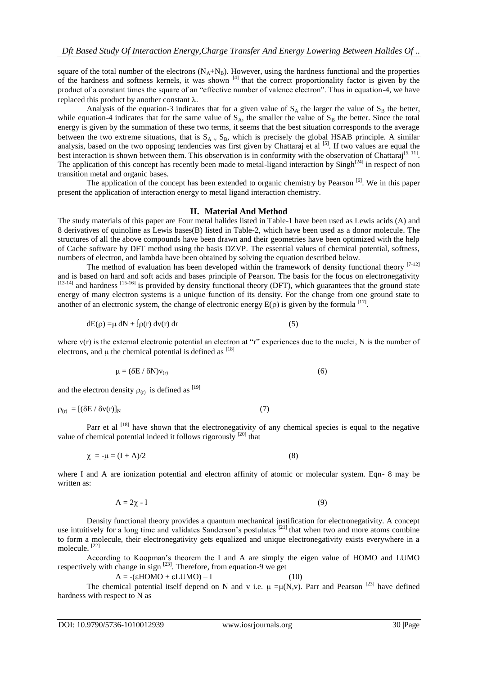square of the total number of the electrons  $(N_A+N_B)$ . However, using the hardness functional and the properties of the hardness and softness kernels, it was shown  $[4]$  that the correct proportionality factor is given by the product of a constant times the square of an "effective number of valence electron". Thus in equation-4, we have replaced this product by another constant  $\lambda$ .

Analysis of the equation-3 indicates that for a given value of  $S_A$  the larger the value of  $S_B$  the better, while equation-4 indicates that for the same value of  $S_A$ , the smaller the value of  $S_B$  the better. Since the total energy is given by the summation of these two terms, it seems that the best situation corresponds to the average between the two extreme situations, that is  $S_A \sim S_B$ , which is precisely the global HSAB principle. A similar analysis, based on the two opposing tendencies was first given by Chattaraj et al <sup>[5]</sup>. If two values are equal the best interaction is shown between them. This observation is in conformity with the observation of Chattaraj<sup>[5, 11]</sup>. The application of this concept has recently been made to metal-ligand interaction by Singh<sup>[24]</sup> in respect of non transition metal and organic bases.

The application of the concept has been extended to organic chemistry by Pearson [6]. We in this paper present the application of interaction energy to metal ligand interaction chemistry.

### **II. Material And Method**

The study materials of this paper are Four metal halides listed in Table-1 have been used as Lewis acids (A) and 8 derivatives of quinoline as Lewis bases(B) listed in Table-2, which have been used as a donor molecule. The structures of all the above compounds have been drawn and their geometries have been optimized with the help of Cache software by DFT method using the basis DZVP. The essential values of chemical potential, softness, numbers of electron, and lambda have been obtained by solving the equation described below.

The method of evaluation has been developed within the framework of density functional theory  $[7-12]$ and is based on hard and soft acids and bases principle of Pearson. The basis for the focus on electronegativity  $^{[13-14]}$  and hardness  $^{[15-16]}$  is provided by density functional theory (DFT), which guarantees that the ground state energy of many electron systems is a unique function of its density. For the change from one ground state to another of an electronic system, the change of electronic energy  $E(\rho)$  is given by the formula [17].

$$
dE(\rho) = \mu \, dN + \int \rho(r) \, dv(r) \, dr \tag{5}
$$

where  $v(r)$  is the external electronic potential an electron at "r" experiences due to the nuclei, N is the number of electrons, and  $\mu$  the chemical potential is defined as  $^{[18]}$ 

$$
\mu = (\delta E / \delta N) v_{(r)} \tag{6}
$$

and the electron density  $\rho_{(r)}$  is defined as  $^{[19]}$ 

$$
\rho_{(r)} = [(\delta E / \delta v(r)]_N \tag{7}
$$

Parr et al <sup>[18]</sup> have shown that the electronegativity of any chemical species is equal to the negative value of chemical potential indeed it follows rigorously  $[20]$  that

$$
\chi = -\mu = (I + A)/2 \tag{8}
$$

where I and A are ionization potential and electron affinity of atomic or molecular system. Eqn- 8 may be written as:

$$
A = 2\chi - I \tag{9}
$$

Density functional theory provides a quantum mechanical justification for electronegativity. A concept use intuitively for a long time and validates Sanderson's postulates [21] that when two and more atoms combine to form a molecule, their electronegativity gets equalized and unique electronegativity exists everywhere in a molecule. [22]

According to Koopman's theorem the I and A are simply the eigen value of HOMO and LUMO respectively with change in sign  $^{[23]}$ . Therefore, from equation-9 we get

$$
A = -(εHOMO + εLUMO) – I
$$
 (10)

The chemical potential itself depend on N and v i.e.  $\mu = \mu(N, v)$ . Parr and Pearson <sup>[23]</sup> have defined hardness with respect to N as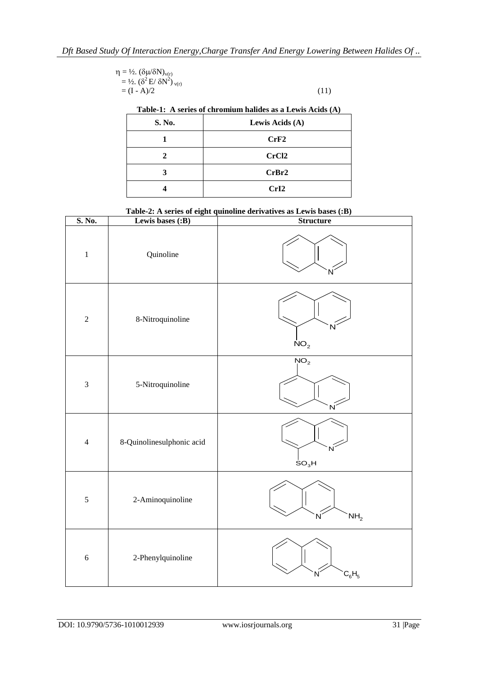| $\eta = \frac{1}{2}$ . $(\delta \mu / \delta N)_{v(r)}$            |      |
|--------------------------------------------------------------------|------|
| $=$ 1/2. ( $\delta^2$ E/ $\delta$ N <sup>2</sup> ) <sub>y(r)</sub> |      |
| $= (I - A)/2$                                                      | (11) |

|  |  | Table-1: A series of chromium halides as a Lewis Acids (A) |
|--|--|------------------------------------------------------------|
|  |  |                                                            |

| Table-1, A scries of chromium nanues as a Lewis Actus (A)<br>S. No. | Lewis Acids (A)   |  |  |  |  |  |
|---------------------------------------------------------------------|-------------------|--|--|--|--|--|
|                                                                     | CrF2              |  |  |  |  |  |
|                                                                     | CrCl <sub>2</sub> |  |  |  |  |  |
|                                                                     | CrBr2             |  |  |  |  |  |
|                                                                     | CrI2              |  |  |  |  |  |

**Table-2: A series of eight quinoline derivatives as Lewis bases (:B)**

| S. No.         | Lewis bases (:B)          | <b>Structure</b>                  |
|----------------|---------------------------|-----------------------------------|
| $\,1$          | Quinoline                 |                                   |
| $\sqrt{2}$     | 8-Nitroquinoline          | N<br>NO <sub>2</sub>              |
| $\mathfrak{Z}$ | 5-Nitroquinoline          | NO <sub>2</sub><br>$\overline{N}$ |
| $\overline{4}$ | 8-Quinolinesulphonic acid | SO <sub>3</sub> H                 |
| $\sqrt{5}$     | 2-Aminoquinoline          | NH <sub>2</sub><br>N              |
| $\sqrt{6}$     | 2-Phenylquinoline         | $\mathrm{C_6H_5}$<br>Ν            |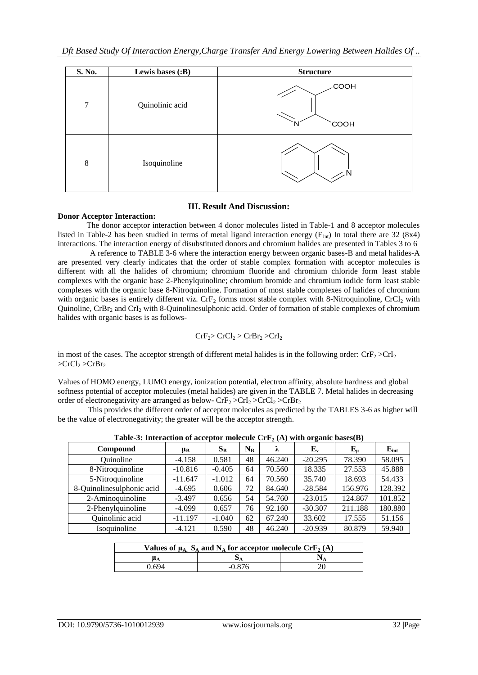| S. No.  | Lewis bases (:B) | <b>Structure</b> |
|---------|------------------|------------------|
| $\tau$  | Quinolinic acid  | COOH<br>COOH     |
| $\,8\,$ | Isoquinoline     |                  |

# **III. Result And Discussion:**

# **Donor Acceptor Interaction:**

The donor acceptor interaction between 4 donor molecules listed in Table-1 and 8 acceptor molecules listed in Table-2 has been studied in terms of metal ligand interaction energy ( $E_{int}$ ) In total there are 32 (8x4) interactions. The interaction energy of disubstituted donors and chromium halides are presented in Tables 3 to 6

 A reference to TABLE 3-6 where the interaction energy between organic bases-B and metal halides-A are presented very clearly indicates that the order of stable complex formation with acceptor molecules is different with all the halides of chromium; chromium fluoride and chromium chloride form least stable complexes with the organic base 2-Phenylquinoline; chromium bromide and chromium iodide form least stable complexes with the organic base 8-Nitroquinoline. Formation of most stable complexes of halides of chromium with organic bases is entirely different viz. CrF<sub>2</sub> forms most stable complex with 8-Nitroquinoline, CrCl<sub>2</sub> with Quinoline,  $CrBr<sub>2</sub>$  and  $CrI<sub>2</sub>$  with 8-Quinolinesulphonic acid. Order of formation of stable complexes of chromium halides with organic bases is as follows-

$$
CrF_2 > CrCl_2 > CrBr_2 > CrI_2
$$

in most of the cases. The acceptor strength of different metal halides is in the following order:  $CrF_2 > CrI_2$  $>CrCl_2 > CrBr_2$ 

Values of HOMO energy, LUMO energy, ionization potential, electron affinity, absolute hardness and global softness potential of acceptor molecules (metal halides) are given in the TABLE 7. Metal halides in decreasing order of electronegativity are arranged as below- $CrF_2 > CrI_2 > CrBr_2$ 

 This provides the different order of acceptor molecules as predicted by the TABLES 3-6 as higher will be the value of electronegativity; the greater will be the acceptor strength.

| Table-5. This faction of acceptor inolecule $C_1$ $P_2$ (A) with organic bases (D) |           |          |             |        |             |           |           |
|------------------------------------------------------------------------------------|-----------|----------|-------------|--------|-------------|-----------|-----------|
| Compound                                                                           | $\mu_B$   | $S_B$    | $N_{\rm B}$ | λ      | ${\bf E_v}$ | $E_{\mu}$ | $E_{int}$ |
| Ouinoline                                                                          | $-4.158$  | 0.581    | 48          | 46.240 | $-20.295$   | 78.390    | 58.095    |
| 8-Nitroquinoline                                                                   | $-10.816$ | $-0.405$ | 64          | 70.560 | 18.335      | 27.553    | 45.888    |
| 5-Nitroquinoline                                                                   | $-11.647$ | $-1.012$ | 64          | 70.560 | 35.740      | 18.693    | 54.433    |
| 8-Quinolinesulphonic acid                                                          | $-4.695$  | 0.606    | 72          | 84.640 | $-28.584$   | 156.976   | 128.392   |
| 2-Aminoquinoline                                                                   | $-3.497$  | 0.656    | 54          | 54.760 | $-23.015$   | 124.867   | 101.852   |
| 2-Phenylquinoline                                                                  | $-4.099$  | 0.657    | 76          | 92.160 | $-30.307$   | 211.188   | 180.880   |
| Quinolinic acid                                                                    | $-11.197$ | $-1.040$ | 62          | 67.240 | 33.602      | 17.555    | 51.156    |
| Isoquinoline                                                                       | $-4.121$  | 0.590    | 48          | 46.240 | $-20.939$   | 80.879    | 59.940    |

**Table-3: Interaction of acceptor molecule CrF<sup>2</sup> (A) with organic bases(B)**

| Values of $\mu_A$ , $S_A$ and $N_A$ for acceptor molecule CrF <sub>2</sub> (A) |          |  |  |  |  |
|--------------------------------------------------------------------------------|----------|--|--|--|--|
|                                                                                |          |  |  |  |  |
| 0 694                                                                          | $-0.876$ |  |  |  |  |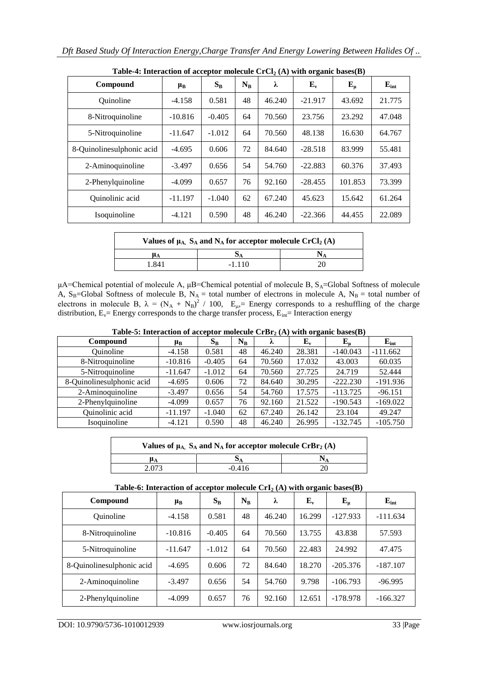| Table $\pi$ , micraelion of acceptor molecule $C_1 C_1 / (11)$ with organic babes( $D$ )<br>Compound | $\mu_B$   | $S_{B}$  | $N_{B}$ | λ      | $\mathbf{E}_{\mathbf{v}}$ | $E_{\mu}$ | $E_{int}$ |
|------------------------------------------------------------------------------------------------------|-----------|----------|---------|--------|---------------------------|-----------|-----------|
| <b>Ouinoline</b>                                                                                     | $-4.158$  | 0.581    | 48      | 46.240 | $-21.917$                 | 43.692    | 21.775    |
| 8-Nitroquinoline                                                                                     | $-10.816$ | $-0.405$ | 64      | 70.560 | 23.756                    | 23.292    | 47.048    |
| 5-Nitroquinoline                                                                                     | $-11.647$ | $-1.012$ | 64      | 70.560 | 48.138                    | 16.630    | 64.767    |
| 8-Quinolinesulphonic acid                                                                            | $-4.695$  | 0.606    | 72      | 84.640 | $-28.518$                 | 83.999    | 55.481    |
| 2-Aminoquinoline                                                                                     | $-3.497$  | 0.656    | 54      | 54.760 | $-22.883$                 | 60.376    | 37.493    |
| 2-Phenylquinoline                                                                                    | $-4.099$  | 0.657    | 76      | 92.160 | $-28.455$                 | 101.853   | 73.399    |
| Quinolinic acid                                                                                      | $-11.197$ | $-1.040$ | 62      | 67.240 | 45.623                    | 15.642    | 61.264    |
| Isoquinoline                                                                                         | $-4.121$  | 0.590    | 48      | 46.240 | $-22.366$                 | 44.455    | 22.089    |

**Table-4: Interaction of acceptor molecule CrCl<sup>2</sup> (A) with organic bases(B)**

| Values of $\mu_A$ , $S_A$ and $N_A$ for acceptor molecule CrCl <sub>2</sub> (A) |          |  |  |  |  |
|---------------------------------------------------------------------------------|----------|--|--|--|--|
| $\mu_A$                                                                         |          |  |  |  |  |
| i 841                                                                           | $-1.110$ |  |  |  |  |

μA=Chemical potential of molecule A, μB=Chemical potential of molecule B,  $S_A$ =Global Softness of molecule A,  $S_B$ =Global Softness of molecule B, N<sub>A</sub> = total number of electrons in molecule A, N<sub>B</sub> = total number of electrons in molecule B,  $\lambda = (N_A + N_B)^2 / 100$ ,  $E_{\mu}$  Energy corresponds to a reshuffling of the charge distribution,  $E_v$ = Energy corresponds to the charge transfer process,  $E_{int}$ = Interaction energy

**Table-5: Interaction of acceptor molecule CrBr<sup>2</sup> (A) with organic bases(B)**

| Compound                  | $\mu_{\rm B}$ | $S_{B}$  | $N_{B}$ | λ      | $\mathbf{E}_{\mathbf{v}}$ | $\mathbf{E}_{\mathbf{u}}$ | $E_{int}$  |
|---------------------------|---------------|----------|---------|--------|---------------------------|---------------------------|------------|
| Quinoline                 | $-4.158$      | 0.581    | 48      | 46.240 | 28.381                    | $-140.043$                | $-111.662$ |
| 8-Nitroquinoline          | $-10.816$     | $-0.405$ | 64      | 70.560 | 17.032                    | 43.003                    | 60.035     |
| 5-Nitroquinoline          | $-11.647$     | $-1.012$ | 64      | 70.560 | 27.725                    | 24.719                    | 52.444     |
| 8-Quinolinesulphonic acid | $-4.695$      | 0.606    | 72      | 84.640 | 30.295                    | $-222.230$                | $-191.936$ |
| 2-Aminoquinoline          | $-3.497$      | 0.656    | 54      | 54.760 | 17.575                    | $-113.725$                | $-96.151$  |
| 2-Phenylquinoline         | $-4.099$      | 0.657    | 76      | 92.160 | 21.522                    | $-190.543$                | $-169.022$ |
| Quinolinic acid           | $-11.197$     | $-1.040$ | 62      | 67.240 | 26.142                    | 23.104                    | 49.247     |
| Isoquinoline              | $-4.121$      | 0.590    | 48      | 46.240 | 26.995                    | $-132.745$                | $-105.750$ |

| Values of $\mu_A$ , $S_A$ and $N_A$ for acceptor molecule CrBr <sub>2</sub> (A) |          |  |  |  |  |
|---------------------------------------------------------------------------------|----------|--|--|--|--|
| $\mu_A$                                                                         |          |  |  |  |  |
| 2.073                                                                           | $-0.416$ |  |  |  |  |
|                                                                                 |          |  |  |  |  |

# **Table-6: Interaction of acceptor molecule CrI<sup>2</sup> (A) with organic bases(B)**

| Compound                  | $\mu_B$   | $S_{B}$  | $N_{B}$ | λ      | $\mathbf{E}_{\mathbf{v}}$ | ${\bf E}_{\bf u}$ | $E_{int}$  |
|---------------------------|-----------|----------|---------|--------|---------------------------|-------------------|------------|
| Quinoline                 | $-4.158$  | 0.581    | 48      | 46.240 | 16.299                    | $-127.933$        | $-111.634$ |
| 8-Nitroquinoline          | $-10.816$ | $-0.405$ | 64      | 70.560 | 13.755                    | 43.838            | 57.593     |
| 5-Nitroquinoline          | $-11.647$ | $-1.012$ | 64      | 70.560 | 22.483                    | 24.992            | 47.475     |
| 8-Quinolinesulphonic acid | $-4.695$  | 0.606    | 72      | 84.640 | 18.270                    | $-205.376$        | $-187.107$ |
| 2-Aminoquinoline          | $-3.497$  | 0.656    | 54      | 54.760 | 9.798                     | $-106.793$        | $-96.995$  |
| 2-Phenylquinoline         | $-4.099$  | 0.657    | 76      | 92.160 | 12.651                    | $-178.978$        | $-166.327$ |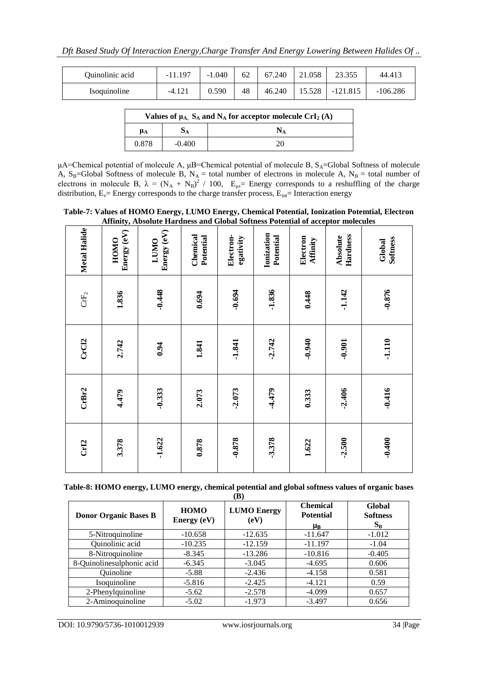| Quinolinic acid | $-11.197$ | $-1.040$ | 62 | 67.240 | 21.058 | 23.355     | 44.413     |
|-----------------|-----------|----------|----|--------|--------|------------|------------|
| Isoquinoline    | $-4.121$  | 0.590    | 48 | 46.240 | 15.528 | $-121.815$ | $-106.286$ |

| Values of $\mu_A$ , $S_A$ and $N_A$ for acceptor molecule CrI <sub>2</sub> (A) |          |  |  |  |  |
|--------------------------------------------------------------------------------|----------|--|--|--|--|
| $\mu_A$                                                                        |          |  |  |  |  |
| 0.878                                                                          | $-0.400$ |  |  |  |  |

μA=Chemical potential of molecule A, μB=Chemical potential of molecule B,  $S_A$ =Global Softness of molecule A,  $S_B$ =Global Softness of molecule B, N<sub>A</sub> = total number of electrons in molecule A, N<sub>B</sub> = total number of electrons in molecule B,  $\lambda = (N_A + N_B)^2 / 100$ ,  $E_{\mu}$  Energy corresponds to a reshuffling of the charge distribution,  $E_v$ = Energy corresponds to the charge transfer process,  $E_{int}$ = Interaction energy

**Table-7: Values of HOMO Energy, LUMO Energy, Chemical Potential, Ionization Potemtial, Electron Affinity, Absolute Hardness and Global Softness Potential of acceptor molecules**

| Metal Halide     | Energy (eV)<br>HOMO | Energy (eV)<br><b>LUMO</b> | Chemical<br>Potential | Electron-<br>egativity | Ionization<br>Potential | Electron<br>Affinity | Hardness<br>Absolute | Softness<br>Global |
|------------------|---------------------|----------------------------|-----------------------|------------------------|-------------------------|----------------------|----------------------|--------------------|
| $\mathbf{CrF}_2$ | 1.836               | $-0.448$                   | 0.694                 | $-0.694$               | $-1.836$                | 0.448                | $-1.142$             | $-0.876$           |
| CrC12            | 2.742               | 0.94                       | 1.841                 | $-1.841$               | $-2.742$                | $-0.940$             | $-0.901$             | $-1.110$           |
| CrBr2            | 4.479               | $-0.333$                   | 2.073                 | $-2.073$               | $-4.479$                | 0.333                | $-2.406$             | $-0.416$           |
| Cr12             | 3.378               | $-1.622$                   | 0.878                 | $-0.878$               | $-3.378$                | 1.622                | $-2.500$             | $-0.400$           |

**Table-8: HOMO energy, LUMO energy, chemical potential and global softness values of organic bases (B)**

|                              |                              | $\mathbf{u}$               |                                                      |                                    |
|------------------------------|------------------------------|----------------------------|------------------------------------------------------|------------------------------------|
| <b>Donor Organic Bases B</b> | <b>HOMO</b><br>Energy $(eV)$ | <b>LUMO Energy</b><br>(eV) | <b>Chemical</b><br><b>Potential</b><br>$\mu_{\rm B}$ | Global<br><b>Softness</b><br>$S_B$ |
| 5-Nitroquinoline             | $-10.658$                    | $-12.635$                  | $-11.647$                                            | $-1.012$                           |
| Quinolinic acid              | $-10.235$                    | $-12.159$                  | $-11.197$                                            | $-1.04$                            |
| 8-Nitroquinoline             | $-8.345$                     | $-13.286$                  | $-10.816$                                            | $-0.405$                           |
| 8-Quinolinesulphonic acid    | $-6.345$                     | $-3.045$                   | $-4.695$                                             | 0.606                              |
| Ouinoline                    | $-5.88$                      | $-2.436$                   | $-4.158$                                             | 0.581                              |
| Isoquinoline                 | $-5.816$                     | $-2.425$                   | $-4.121$                                             | 0.59                               |
| 2-Phenylquinoline            | $-5.62$                      | $-2.578$                   | $-4.099$                                             | 0.657                              |
| 2-Aminoquinoline             | $-5.02$                      | $-1.973$                   | $-3.497$                                             | 0.656                              |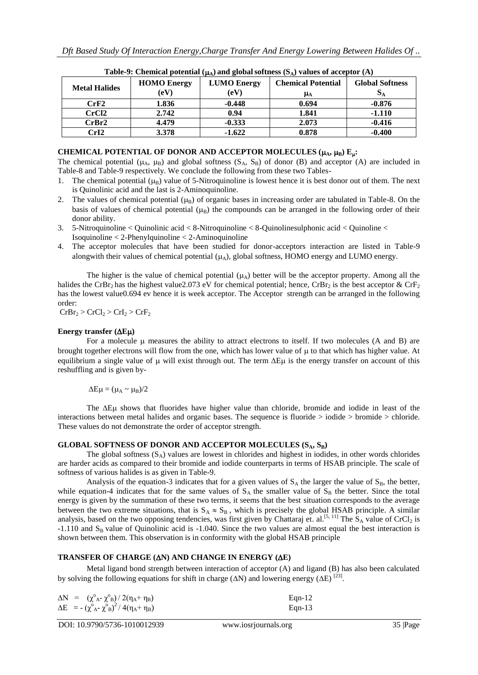| <b>Metal Halides</b> | <b>HOMO</b> Energy<br>(eV) | <b>LUMO Energy</b><br>$\rm(eV)$ | $\mu_A$ , when growing solutions $(\sigma_A)$ . where we decopress $(2\pi)$<br><b>Chemical Potential</b><br>ИA | <b>Global Softness</b> |
|----------------------|----------------------------|---------------------------------|----------------------------------------------------------------------------------------------------------------|------------------------|
| CrF2                 | 1.836                      | $-0.448$                        | 0.694                                                                                                          | $-0.876$               |
| CrCl <sub>2</sub>    | 2.742                      | 0.94                            | 1.841                                                                                                          | $-1.110$               |
| CrBr2                | 4.479                      | $-0.333$                        | 2.073                                                                                                          | $-0.416$               |
| CrI2                 | 3.378                      | $-1.622$                        | 0.878                                                                                                          | $-0.400$               |

**Table-9:** Chemical potential  $(\mu_{\lambda})$  and global softness  $(S_{\lambda})$  values of acceptor  $(A)$ 

# CHEMICAL POTENTIAL OF DONOR AND ACCEPTOR MOLECULES  $(\mu_A, \mu_B) E_u$ :

The chemical potential ( $\mu_A$ ,  $\mu_B$ ) and global softness ( $S_A$ ,  $S_B$ ) of donor (B) and acceptor (A) are included in Table-8 and Table-9 respectively. We conclude the following from these two Tables-

- 1. The chemical potential  $(\mu_R)$  value of 5-Nitroquinoline is lowest hence it is best donor out of them. The next is Quinolinic acid and the last is 2-Aminoquinoline.
- 2. The values of chemical potential  $(\mu_R)$  of organic bases in increasing order are tabulated in Table-8. On the basis of values of chemical potential  $(\mu_R)$  the compounds can be arranged in the following order of their donor ability.
- 3. 5-Nitroquinoline < Quinolinic acid < 8-Nitroquinoline < 8-Quinolinesulphonic acid < Quinoline < Isoquinoline < 2-Phenylquinoline < 2-Aminoquinoline
- 4. The acceptor molecules that have been studied for donor-acceptors interaction are listed in Table-9 alongwith their values of chemical potential  $(\mu_A)$ , global softness, HOMO energy and LUMO energy.

The higher is the value of chemical potential  $(\mu_A)$  better will be the acceptor property. Among all the halides the CrBr<sub>2</sub> has the highest value2.073 eV for chemical potential; hence, CrBr<sub>2</sub> is the best acceptor & CrF<sub>2</sub> has the lowest value0.694 ev hence it is week acceptor. The Acceptor strength can be arranged in the following order:

 $CrBr_2 > CrCl_2 > CrI_2 > CrF_2$ 

# **Energy transfer**  $(\Delta E\mu)$

For a molecule  $\mu$  measures the ability to attract electrons to itself. If two molecules (A and B) are brought together electrons will flow from the one, which has lower value of  $\mu$  to that which has higher value. At equilibrium a single value of  $\mu$  will exist through out. The term  $\Delta E \mu$  is the energy transfer on account of this reshuffling and is given by-

 $\Delta E \mu = (\mu_A \sim \mu_B)/2$ 

The  $\Delta E \mu$  shows that fluorides have higher value than chloride, bromide and iodide in least of the interactions between metal halides and organic bases. The sequence is fluoride > iodide > bromide > chloride. These values do not demonstrate the order of acceptor strength.

# **GLOBAL SOFTNESS OF DONOR AND ACCEPTOR MOLECULES (SA, SB)**

The global softness  $(S_A)$  values are lowest in chlorides and highest in iodides, in other words chlorides are harder acids as compared to their bromide and iodide counterparts in terms of HSAB principle. The scale of softness of various halides is as given in Table-9.

Analysis of the equation-3 indicates that for a given values of  $S_A$  the larger the value of  $S_B$ , the better, while equation-4 indicates that for the same values of  $S_A$  the smaller value of  $S_B$  the better. Since the total energy is given by the summation of these two terms, it seems that the best situation corresponds to the average between the two extreme situations, that is  $S_A \approx S_B$ , which is precisely the global HSAB principle. A similar analysis, based on the two opposing tendencies, was first given by Chattaraj et. al.<sup>[5, 11]</sup> The  $S_A$  value of CrCl<sub>2</sub> is  $-1.110$  and S<sub>B</sub> value of Quinolinic acid is  $-1.040$ . Since the two values are almost equal the best interaction is shown between them. This observation is in conformity with the global HSAB principle

# **TRANSFER OF CHARGE (N) AND CHANGE IN ENERGY (E)**

Metal ligand bond strength between interaction of acceptor (A) and ligand (B) has also been calculated by solving the following equations for shift in charge ( $\Delta N$ ) and lowering energy ( $\Delta E$ )<sup>[23]</sup>.

| $\Delta N = (\chi^{\circ}{}_{A} - \chi^{\circ}{}_{B}) / 2(\eta_{A} + \eta_{B})$      | $Eqn-12$ |
|--------------------------------------------------------------------------------------|----------|
| $\Delta E = -(\chi^{\circ}{}_{A} - \chi^{\circ}{}_{B})^{2} / 4(\eta_{A} + \eta_{B})$ | Eqn-13   |

DOI: 10.9790/5736-1010012939 www.iosrjournals.org 35 |Page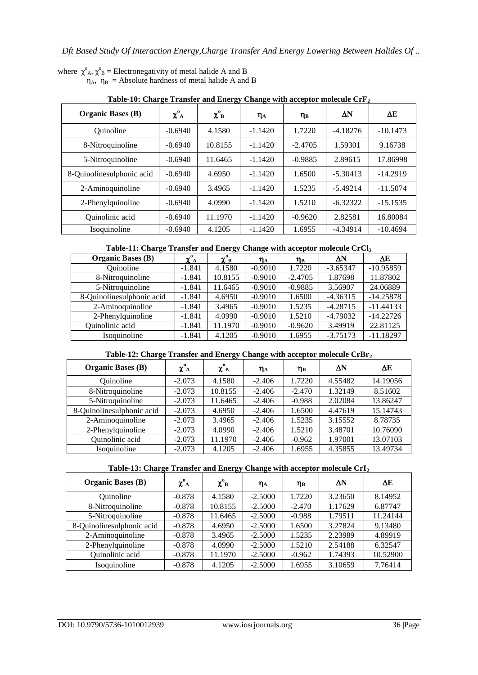where  $\chi^{\circ}{}_{A}$ ,  $\chi^{\circ}{}_{B}$  = Electronegativity of metal halide A and B  $\eta_A$ ,  $\eta_B$  = Absolute hardness of metal halide A and B

| <b>Organic Bases (B)</b>  | $\chi^{\rm o}{}_{\rm A}$ | $\chi^0_B$ | $\eta_A$  | $\eta_B$  | ΔN         | AЕ         |
|---------------------------|--------------------------|------------|-----------|-----------|------------|------------|
| Quinoline                 | $-0.6940$                | 4.1580     | $-1.1420$ | 1.7220    | $-4.18276$ | $-10.1473$ |
| 8-Nitroquinoline          | $-0.6940$                | 10.8155    | $-1.1420$ | $-2.4705$ | 1.59301    | 9.16738    |
| 5-Nitroquinoline          | $-0.6940$                | 11.6465    | $-1.1420$ | $-0.9885$ | 2.89615    | 17.86998   |
| 8-Quinolinesulphonic acid | $-0.6940$                | 4.6950     | $-1.1420$ | 1.6500    | $-5.30413$ | $-14.2919$ |
| 2-Aminoquinoline          | $-0.6940$                | 3.4965     | $-1.1420$ | 1.5235    | $-5.49214$ | $-11.5074$ |
| 2-Phenylquinoline         | $-0.6940$                | 4.0990     | $-1.1420$ | 1.5210    | $-6.32322$ | $-15.1535$ |
| <b>Ouinolinic</b> acid    | $-0.6940$                | 11.1970    | $-1.1420$ | $-0.9620$ | 2.82581    | 16.80084   |
| Isoquinoline              | $-0.6940$                | 4.1205     | $-1.1420$ | 1.6955    | $-4.34914$ | $-10.4694$ |

**Table-10: Charge Transfer and Energy Change with acceptor molecule CrF<sup>2</sup>**

# **Table-11: Charge Transfer and Energy Change with acceptor molecule CrCl<sup>2</sup>**

| <b>Organic Bases (B)</b>  | $\chi^{\rm o}{}_{\rm A}$ | $\chi^{\text{o}}_{\text{B}}$ | $\eta_A$  | $\eta_B$  | ΔN         | ΔE          |
|---------------------------|--------------------------|------------------------------|-----------|-----------|------------|-------------|
| Quinoline                 | $-1.841$                 | 4.1580                       | $-0.9010$ | 1.7220    | $-3.65347$ | $-10.95859$ |
| 8-Nitroquinoline          | $-1.841$                 | 10.8155                      | $-0.9010$ | $-2.4705$ | 1.87698    | 11.87802    |
| 5-Nitroquinoline          | $-1.841$                 | 11.6465                      | $-0.9010$ | $-0.9885$ | 3.56907    | 24.06889    |
| 8-Quinolinesulphonic acid | $-1.841$                 | 4.6950                       | $-0.9010$ | 1.6500    | $-4.36315$ | $-14.25878$ |
| 2-Aminoquinoline          | $-1.841$                 | 3.4965                       | $-0.9010$ | 1.5235    | $-4.28715$ | $-11.44133$ |
| 2-Phenylquinoline         | $-1.841$                 | 4.0990                       | $-0.9010$ | 1.5210    | $-4.79032$ | $-14.22726$ |
| Quinolinic acid           | $-1.841$                 | 11.1970                      | $-0.9010$ | $-0.9620$ | 3.49919    | 22.81125    |
| Isoquinoline              | $-1.841$                 | 4.1205                       | $-0.9010$ | 1.6955    | $-3.75173$ | $-11.18297$ |

# **Table-12: Charge Transfer and Energy Change with acceptor molecule CrBr<sup>2</sup>**

| <b>Organic Bases (B)</b>  | $\chi^{\text{o}}_{\text{A}}$ | $\chi^{\circ}_{B}$ | $\eta_A$ | $\eta_B$ | ΔN      | ΔE       |
|---------------------------|------------------------------|--------------------|----------|----------|---------|----------|
| Quinoline                 | $-2.073$                     | 4.1580             | $-2.406$ | 1.7220   | 4.55482 | 14.19056 |
| 8-Nitroquinoline          | $-2.073$                     | 10.8155            | $-2.406$ | $-2.470$ | 1.32149 | 8.51602  |
| 5-Nitroquinoline          | $-2.073$                     | 11.6465            | $-2.406$ | $-0.988$ | 2.02084 | 13.86247 |
| 8-Quinolinesulphonic acid | $-2.073$                     | 4.6950             | $-2.406$ | 1.6500   | 4.47619 | 15.14743 |
| 2-Aminoquinoline          | $-2.073$                     | 3.4965             | $-2.406$ | 1.5235   | 3.15552 | 8.78735  |
| 2-Phenylquinoline         | $-2.073$                     | 4.0990             | $-2.406$ | 1.5210   | 3.48701 | 10.76090 |
| Quinolinic acid           | $-2.073$                     | 11.1970            | $-2.406$ | $-0.962$ | 1.97001 | 13.07103 |
| Isoquinoline              | $-2.073$                     | 4.1205             | $-2.406$ | 1.6955   | 4.35855 | 13.49734 |

# **Table-13: Charge Transfer and Energy Change with acceptor molecule CrI<sup>2</sup>**

| <b>Organic Bases (B)</b>  | $\chi^{\text{o}}_{\text{A}}$ | $\chi^{\circ}_{\ B}$ | $\eta_A$  | $\eta_B$ | ΔN      | ΔE       |
|---------------------------|------------------------------|----------------------|-----------|----------|---------|----------|
| <b>Ouinoline</b>          | $-0.878$                     | 4.1580               | $-2.5000$ | 1.7220   | 3.23650 | 8.14952  |
| 8-Nitroquinoline          | $-0.878$                     | 10.8155              | $-2.5000$ | $-2.470$ | 1.17629 | 6.87747  |
| 5-Nitroquinoline          | $-0.878$                     | 11.6465              | $-2.5000$ | $-0.988$ | 1.79511 | 11.24144 |
| 8-Quinolinesulphonic acid | $-0.878$                     | 4.6950               | $-2.5000$ | 1.6500   | 3.27824 | 9.13480  |
| 2-Aminoquinoline          | $-0.878$                     | 3.4965               | $-2.5000$ | 1.5235   | 2.23989 | 4.89919  |
| 2-Phenylquinoline         | $-0.878$                     | 4.0990               | $-2.5000$ | 1.5210   | 2.54188 | 6.32547  |
| Quinolinic acid           | $-0.878$                     | 11.1970              | $-2.5000$ | $-0.962$ | 1.74393 | 10.52900 |
| Isoquinoline              | $-0.878$                     | 4.1205               | $-2.5000$ | 1.6955   | 3.10659 | 7.76414  |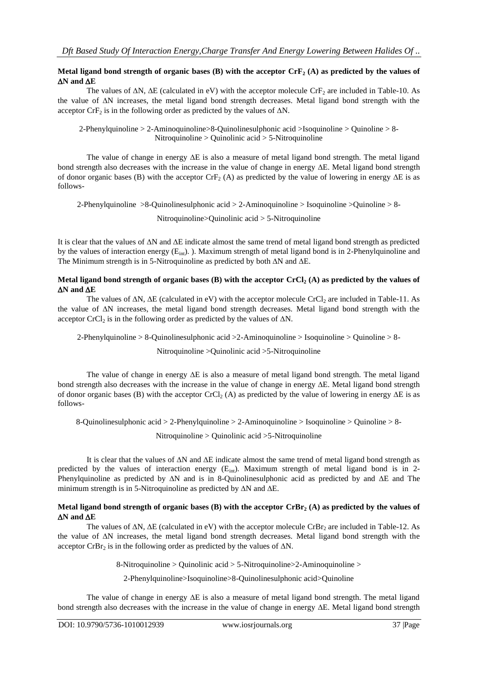## **Metal ligand bond strength of organic bases (B) with the acceptor CrF<sup>2</sup> (A) as predicted by the values of**   $\Delta N$  and  $\Delta E$

The values of  $\Delta N$ ,  $\Delta E$  (calculated in eV) with the acceptor molecule CrF<sub>2</sub> are included in Table-10. As the value of  $\Delta N$  increases, the metal ligand bond strength decreases. Metal ligand bond strength with the acceptor CrF<sub>2</sub> is in the following order as predicted by the values of  $\Delta N$ .

2-Phenylquinoline > 2-Aminoquinoline>8-Quinolinesulphonic acid >Isoquinoline > Quinoline > 8- Nitroquinoline > Quinolinic acid > 5-Nitroquinoline

The value of change in energy  $\Delta E$  is also a measure of metal ligand bond strength. The metal ligand bond strength also decreases with the increase in the value of change in energy  $\Delta E$ . Metal ligand bond strength of donor organic bases (B) with the acceptor  $CrF<sub>2</sub>$  (A) as predicted by the value of lowering in energy  $\Delta E$  is as follows-

2-Phenylquinoline >8-Quinolinesulphonic acid > 2-Aminoquinoline > Isoquinoline >Quinoline > 8-

Nitroquinoline>Quinolinic acid > 5-Nitroquinoline

It is clear that the values of  $\Delta N$  and  $\Delta E$  indicate almost the same trend of metal ligand bond strength as predicted by the values of interaction energy  $(E_{int})$ . ). Maximum strength of metal ligand bond is in 2-Phenylquinoline and The Minimum strength is in 5-Nitroquinoline as predicted by both  $\Delta N$  and  $\Delta E$ .

## **Metal ligand bond strength of organic bases (B) with the acceptor CrCl<sup>2</sup> (A) as predicted by the values of**   $\Delta N$  and  $\Delta E$

The values of  $\Delta N$ ,  $\Delta E$  (calculated in eV) with the acceptor molecule CrCl<sub>2</sub> are included in Table-11. As the value of N increases, the metal ligand bond strength decreases. Metal ligand bond strength with the acceptor CrCl<sub>2</sub> is in the following order as predicted by the values of  $\Delta N$ .

2-Phenylquinoline > 8-Quinolinesulphonic acid >2-Aminoquinoline > Isoquinoline > Quinoline > 8-

Nitroquinoline >Quinolinic acid >5-Nitroquinoline

The value of change in energy  $\Delta E$  is also a measure of metal ligand bond strength. The metal ligand bond strength also decreases with the increase in the value of change in energy  $\Delta E$ . Metal ligand bond strength of donor organic bases (B) with the acceptor  $CrCl<sub>2</sub>(A)$  as predicted by the value of lowering in energy  $\Delta E$  is as follows-

8-Quinolinesulphonic acid > 2-Phenylquinoline > 2-Aminoquinoline > Isoquinoline > Quinoline > 8-

Nitroquinoline > Quinolinic acid >5-Nitroquinoline

It is clear that the values of  $\Delta N$  and  $\Delta E$  indicate almost the same trend of metal ligand bond strength as predicted by the values of interaction energy  $(E_{int})$ . Maximum strength of metal ligand bond is in 2-Phenylquinoline as predicted by  $\Delta N$  and is in 8-Quinolinesulphonic acid as predicted by and  $\Delta E$  and The minimum strength is in 5-Nitroquinoline as predicted by  $\Delta N$  and  $\Delta E$ .

## **Metal ligand bond strength of organic bases (B) with the acceptor CrBr<sup>2</sup> (A) as predicted by the values of**   $\Delta N$  and  $\Delta E$

The values of  $\Delta N$ ,  $\Delta E$  (calculated in eV) with the acceptor molecule CrBr<sub>2</sub> are included in Table-12. As the value of  $\Delta N$  increases, the metal ligand bond strength decreases. Metal ligand bond strength with the acceptor CrBr<sub>2</sub> is in the following order as predicted by the values of  $\Delta N$ .

8-Nitroquinoline > Quinolinic acid > 5-Nitroquinoline>2-Aminoquinoline >

2-Phenylquinoline>Isoquinoline>8-Quinolinesulphonic acid>Quinoline

The value of change in energy  $\Delta E$  is also a measure of metal ligand bond strength. The metal ligand bond strength also decreases with the increase in the value of change in energy  $\Delta E$ . Metal ligand bond strength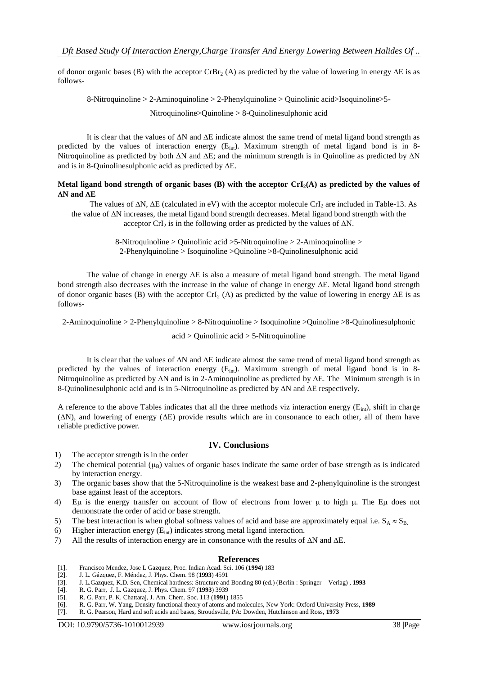of donor organic bases (B) with the acceptor CrBr<sub>2</sub> (A) as predicted by the value of lowering in energy  $\Delta E$  is as follows-

8-Nitroquinoline > 2-Aminoquinoline > 2-Phenylquinoline > Quinolinic acid>Isoquinoline>5-

Nitroquinoline>Quinoline > 8-Quinolinesulphonic acid

It is clear that the values of  $\Delta N$  and  $\Delta E$  indicate almost the same trend of metal ligand bond strength as predicted by the values of interaction energy  $(E_{int})$ . Maximum strength of metal ligand bond is in 8-Nitroquinoline as predicted by both  $\Delta N$  and  $\Delta E$ ; and the minimum strength is in Quinoline as predicted by  $\Delta N$ and is in 8-Quinolinesulphonic acid as predicted by  $\Delta E$ .

## **Metal ligand bond strength of organic bases (B) with the acceptor CrI2(A) as predicted by the values of**   $\Delta N$  and  $\Delta E$

The values of  $\Delta N$ ,  $\Delta E$  (calculated in eV) with the acceptor molecule CrI<sub>2</sub> are included in Table-13. As the value of  $\Delta N$  increases, the metal ligand bond strength decreases. Metal ligand bond strength with the acceptor CrI<sub>2</sub> is in the following order as predicted by the values of  $\Delta N$ .

> 8-Nitroquinoline > Quinolinic acid >5-Nitroquinoline > 2-Aminoquinoline > 2-Phenylquinoline > Isoquinoline >Quinoline >8-Quinolinesulphonic acid

The value of change in energy  $\Delta E$  is also a measure of metal ligand bond strength. The metal ligand bond strength also decreases with the increase in the value of change in energy  $\Delta E$ . Metal ligand bond strength of donor organic bases (B) with the acceptor CrI<sub>2</sub> (A) as predicted by the value of lowering in energy  $\Delta E$  is as follows-

2-Aminoquinoline > 2-Phenylquinoline > 8-Nitroquinoline > Isoquinoline >Quinoline >8-Quinolinesulphonic

## acid > Quinolinic acid > 5-Nitroquinoline

It is clear that the values of  $\Delta N$  and  $\Delta E$  indicate almost the same trend of metal ligand bond strength as predicted by the values of interaction energy  $(E_{int})$ . Maximum strength of metal ligand bond is in 8-Nitroquinoline as predicted by  $\Delta N$  and is in 2-Aminoquinoline as predicted by  $\Delta E$ . The Minimum strength is in 8-Quinolinesulphonic acid and is in 5-Nitroquinoline as predicted by  $\Delta N$  and  $\Delta E$  respectively.

A reference to the above Tables indicates that all the three methods viz interaction energy  $(E_{int})$ , shift in charge  $(\Delta N)$ , and lowering of energy  $(\Delta E)$  provide results which are in consonance to each other, all of them have reliable predictive power.

# **IV. Conclusions**

- 1) The acceptor strength is in the order
- 2) The chemical potential  $(\mu_B)$  values of organic bases indicate the same order of base strength as is indicated by interaction energy.
- 3) The organic bases show that the 5-Nitroquinoline is the weakest base and 2-phenylquinoline is the strongest base against least of the acceptors.
- 4) E $\mu$  is the energy transfer on account of flow of electrons from lower  $\mu$  to high  $\mu$ . The E $\mu$  does not demonstrate the order of acid or base strength.
- 5) The best interaction is when global softness values of acid and base are approximately equal i.e.  $S_A \approx S_B$ .
- 6) Higher interaction energy  $(E_{int})$  indicates strong metal ligand interaction.
- 7) All the results of interaction energy are in consonance with the results of  $\Delta N$  and  $\Delta E$ .

### **References**

- [1]. Francisco Mendez, Jose L Gazquez, Proc. Indian Acad. Sci. 106 (**1994**) 183
- [2]. J. L. Gázquez, F. Méndez, J. Phys. Chem. 98 (**1993**) 4591
- [3]. J. L.Gazquez, K.D. Sen, Chemical hardness: Structure and Bonding 80 (ed.) (Berlin : Springer Verlag) , **1993**
- [4]. R. G. Parr, J. L. Gazquez, J. Phys. Chem. 97 (**1993**) 3939
- [5]. R. G. Parr, P. K. Chattaraj, J. Am. Chem. Soc. 113 (**1991**) 1855
- [6]. R. G. Parr, W. Yang, Density functional theory of atoms and molecules, New York: Oxford University Press, **1989**
- [7]. R. G. Pearson, Hard and soft acids and bases, Stroudsville, PA: Dowden, Hutchinson and Ross, **1973**